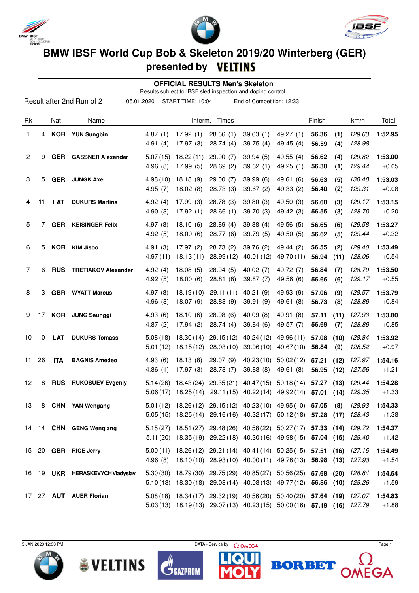





## **BMW IBSF World Cup Bob & Skeleton 2019/20 Winterberg (GER)**

## **presented by**

 **OFFICIAL RESULTS Men's Skeleton**

Results subject to IBSF sled inspection and doping control

|    |    |            | Result after 2nd Run of 2       | 05.01.2020           | START TIME: 10:04                                                                                                                                  |                        | End of Competition: 12:33 |                          |                |              |                  |                    |
|----|----|------------|---------------------------------|----------------------|----------------------------------------------------------------------------------------------------------------------------------------------------|------------------------|---------------------------|--------------------------|----------------|--------------|------------------|--------------------|
| Rk |    | Nat        | Name                            |                      |                                                                                                                                                    | Interm. - Times        |                           |                          | Finish         |              | km/h             | Total              |
| 1  | 4  |            | <b>KOR</b> YUN Sungbin          | 4.87(1)<br>4.91(4)   | 17.92(1)<br>17.97(3)                                                                                                                               | 28.66(1)<br>28.74(4)   | 39.63(1)<br>39.75(4)      | 49.27 (1)<br>49.45 (4)   | 56.36<br>56.59 | (1)<br>(4)   | 129.63<br>128.98 | 1:52.95            |
| 2  | 9  | <b>GER</b> | <b>GASSNER Alexander</b>        | 5.07(15)<br>4.96(8)  | 18.22(11)<br>17.99(5)                                                                                                                              | 29.00(7)<br>28.69(2)   | 39.94(5)<br>39.62(1)      | 49.55 (4)<br>49.25 (1)   | 56.62<br>56.38 | (4)<br>(1)   | 129.82<br>129.44 | 1:53.00<br>$+0.05$ |
| 3  | 5  | GER        | <b>JUNGK Axel</b>               | 4.98(10)<br>4.95(7)  | 18.18(9)<br>18.02(8)                                                                                                                               | 29.00(7)<br>28.73(3)   | 39.99(6)<br>39.67(2)      | 49.61 (6)<br>49.33 (2)   | 56.63<br>56.40 | (5)<br>(2)   | 130.48<br>129.31 | 1:53.03<br>$+0.08$ |
| 4  | 11 | <b>LAT</b> | <b>DUKURS Martins</b>           | 4.92(4)<br>4.90(3)   | 17.99(3)<br>17.92(1)                                                                                                                               | 28.78 (3)<br>28.66(1)  | 39.80(3)<br>39.70 (3)     | 49.50 (3)<br>49.42 (3)   | 56.60<br>56.55 | (3)<br>(3)   | 129.17<br>128.70 | 1:53.15<br>$+0.20$ |
| 5  | 7  | <b>GER</b> | <b>KEISINGER Felix</b>          | 4.97(8)<br>4.92(5)   | 18.10(6)<br>18.00(6)                                                                                                                               | 28.89(4)<br>28.77 (6)  | 39.88(4)<br>39.79(5)      | 49.56 (5)<br>49.50 (5)   | 56.65<br>56.62 | (6)<br>(5)   | 129.58<br>129.44 | 1:53.27<br>$+0.32$ |
| 6  | 15 |            | <b>KOR</b> KIM Jisoo            | 4.91(3)<br>4.97(11)  | 17.97(2)<br>18.13(11)                                                                                                                              | 28.73(2)<br>28.99(12)  | 39.76(2)<br>40.01 (12)    | 49.44 (2)<br>49.70 (11)  | 56.55<br>56.94 | (2)<br>(11)  | 129.40<br>128.06 | 1:53.49<br>$+0.54$ |
| 7  | 6  | <b>RUS</b> | <b>TRETIAKOV Alexander</b>      | 4.92(4)<br>4.92(5)   | 18.08(5)<br>18.00(6)                                                                                                                               | 28.94(5)<br>28.81(8)   | 40.02(7)<br>39.87(7)      | 49.72 (7)<br>49.56 (6)   | 56.84<br>56.66 | (7)<br>(6)   | 128.70<br>129.17 | 1:53.50<br>$+0.55$ |
| 8  | 13 | <b>GBR</b> | <b>WYATT Marcus</b>             | 4.97(8)<br>4.96(8)   | 18.19(10)<br>18.07(9)                                                                                                                              | 29.11 (11)<br>28.88(9) | 40.21 (9)<br>39.91(9)     | 49.93 (9)<br>49.61 (8)   | 57.06<br>56.73 | (9)<br>(8)   | 128.57<br>128.89 | 1:53.79<br>$+0.84$ |
| 9  | 17 |            | <b>KOR</b> JUNG Seunggi         | 4.93(6)<br>4.87(2)   | 18.10(6)<br>17.94(2)                                                                                                                               | 28.98(6)<br>28.74(4)   | 40.09(8)<br>39.84(6)      | 49.91 (8)<br>49.57 (7)   | 57.11<br>56.69 | (11)<br>(7)  | 127.93<br>128.89 | 1:53.80<br>$+0.85$ |
| 10 | 10 | <b>LAT</b> | <b>DUKURS Tomass</b>            | 5.08(18)<br>5.01(12) | 18.30(14)<br>18.15(12)                                                                                                                             | 29.15(12)<br>28.93(10) | 40.24 (12)<br>39.96(10)   | 49.96 (11)<br>49.67 (10) | 57.08<br>56.84 | (10)<br>(9)  | 128.84<br>128.52 | 1:53.92<br>$+0.97$ |
| 11 | 26 | <b>ITA</b> | <b>BAGNIS Amedeo</b>            | 4.93(6)<br>4.86(1)   | 18.13(8)<br>17.97(3)                                                                                                                               | 29.07 (9)<br>28.78 (7) | 40.23(10)<br>39.88(8)     | 50.02(12)<br>49.61 (8)   | 57.21<br>56.95 | (12)<br>(12) | 127.97<br>127.56 | 1:54.16<br>$+1.21$ |
| 12 | 8  | <b>RUS</b> | <b>RUKOSUEV Evgeniy</b>         | 5.14(26)<br>5.06(17) | 18.43 (24)<br>18.25(14)                                                                                                                            | 29.35(21)<br>29.11(15) | 40.47 (15)<br>40.22(14)   | 50.18(14)<br>49.92 (14)  | 57.27<br>57.01 | (13)<br>(14) | 129.44<br>129.35 | 1:54.28<br>$+1.33$ |
| 13 | 18 | CHN        | YAN Wengang                     |                      | 5.01 (12) 18.26 (12) 29.15 (12) 40.23 (10) 49.95 (10) 57.05<br>5.05 (15) 18.25 (14) 29.16 (16) 40.32 (17) 50.12 (18) 57.28 (17) 128.43             |                        |                           |                          |                | (8)          | 128.93           | 1:54.33<br>$+1.38$ |
|    |    |            | 14 14 CHN GENG Wenqiang         |                      | 5.15 (27) 18.51 (27) 29.48 (26) 40.58 (22) 50.27 (17) 57.33 (14) 129.72<br>5.11 (20) 18.35 (19) 29.22 (18) 40.30 (16) 49.98 (15) 57.04 (15) 129.40 |                        |                           |                          |                |              |                  | 1:54.37<br>$+1.42$ |
|    |    |            | 15 20 GBR RICE Jerry            |                      | 5.00 (11) 18.26 (12) 29.21 (14) 40.41 (14) 50.25 (15) 57.51 (16) 127.16<br>4.96 (8) 18.10 (10) 28.93 (10) 40.00 (11) 49.78 (13) 56.98 (13) 127.93  |                        |                           |                          |                |              |                  | 1:54.49<br>$+1.54$ |
|    |    |            | 16 19 UKR HERASKEVYCH Vladyslav |                      | 5.30 (30) 18.79 (30) 29.75 (29) 40.85 (27) 50.56 (25) 57.68 (20) 128.84<br>5.10(18) 18.30(18) 29.08(14) 40.08(13) 49.77(12) 56.86 (10) 129.26      |                        |                           |                          |                |              |                  | 1:54.54<br>$+1.59$ |
|    |    |            | 17 27 AUT AUER Florian          |                      | 5.08 (18) 18.34 (17) 29.32 (19) 40.56 (20) 50.40 (20) 57.64 (19) 127.07<br>5.03 (13) 18.19 (13) 29.07 (13) 40.23 (15) 50.00 (16) 57.19 (16) 127.79 |                        |                           |                          |                |              |                  | 1:54.83<br>$+1.88$ |

 $5$  JAN 2020 12:33 PM Page 1







**BORBET**